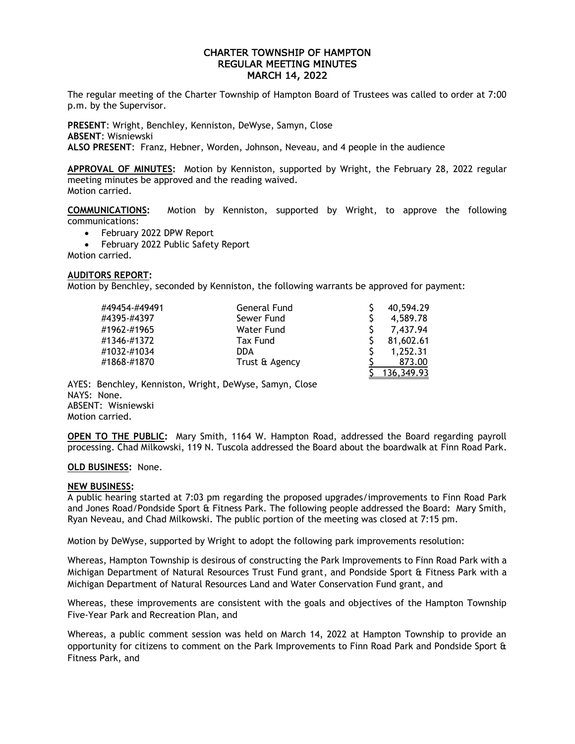# CHARTER TOWNSHIP OF HAMPTON REGULAR MEETING MINUTES MARCH 14, 2022

The regular meeting of the Charter Township of Hampton Board of Trustees was called to order at 7:00 p.m. by the Supervisor.

**PRESENT**: Wright, Benchley, Kenniston, DeWyse, Samyn, Close **ABSENT**: Wisniewski **ALSO PRESENT**: Franz, Hebner, Worden, Johnson, Neveau, and 4 people in the audience

**APPROVAL OF MINUTES:** Motion by Kenniston, supported by Wright, the February 28, 2022 regular meeting minutes be approved and the reading waived. Motion carried.

**COMMUNICATIONS:** Motion by Kenniston, supported by Wright, to approve the following communications:

- February 2022 DPW Report
- February 2022 Public Safety Report

Motion carried.

# **AUDITORS REPORT:**

Motion by Benchley, seconded by Kenniston, the following warrants be approved for payment:

| #49454-#49491 | General Fund   | 40,594.29  |
|---------------|----------------|------------|
| #4395-#4397   | Sewer Fund     | 4,589.78   |
| #1962-#1965   | Water Fund     | 7,437.94   |
| #1346-#1372   | Tax Fund       | 81,602.61  |
| #1032-#1034   | <b>DDA</b>     | 1.252.31   |
| #1868-#1870   | Trust & Agency | 873.00     |
|               |                | 136.349.93 |

AYES: Benchley, Kenniston, Wright, DeWyse, Samyn, Close NAYS: None. ABSENT: Wisniewski Motion carried.

**OPEN TO THE PUBLIC:** Mary Smith, 1164 W. Hampton Road, addressed the Board regarding payroll processing. Chad Milkowski, 119 N. Tuscola addressed the Board about the boardwalk at Finn Road Park.

## **OLD BUSINESS:** None.

# **NEW BUSINESS:**

A public hearing started at 7:03 pm regarding the proposed upgrades/improvements to Finn Road Park and Jones Road/Pondside Sport & Fitness Park. The following people addressed the Board: Mary Smith, Ryan Neveau, and Chad Milkowski. The public portion of the meeting was closed at 7:15 pm.

Motion by DeWyse, supported by Wright to adopt the following park improvements resolution:

Whereas, Hampton Township is desirous of constructing the Park Improvements to Finn Road Park with a Michigan Department of Natural Resources Trust Fund grant, and Pondside Sport & Fitness Park with a Michigan Department of Natural Resources Land and Water Conservation Fund grant, and

Whereas, these improvements are consistent with the goals and objectives of the Hampton Township Five-Year Park and Recreation Plan, and

Whereas, a public comment session was held on March 14, 2022 at Hampton Township to provide an opportunity for citizens to comment on the Park Improvements to Finn Road Park and Pondside Sport & Fitness Park, and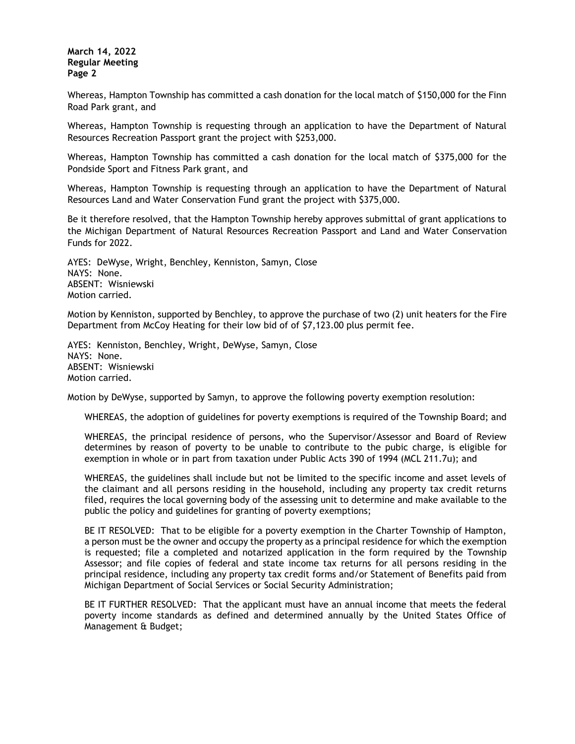Whereas, Hampton Township has committed a cash donation for the local match of \$150,000 for the Finn Road Park grant, and

Whereas, Hampton Township is requesting through an application to have the Department of Natural Resources Recreation Passport grant the project with \$253,000.

Whereas, Hampton Township has committed a cash donation for the local match of \$375,000 for the Pondside Sport and Fitness Park grant, and

Whereas, Hampton Township is requesting through an application to have the Department of Natural Resources Land and Water Conservation Fund grant the project with \$375,000.

Be it therefore resolved, that the Hampton Township hereby approves submittal of grant applications to the Michigan Department of Natural Resources Recreation Passport and Land and Water Conservation Funds for 2022.

AYES: DeWyse, Wright, Benchley, Kenniston, Samyn, Close NAYS: None. ABSENT: Wisniewski Motion carried.

Motion by Kenniston, supported by Benchley, to approve the purchase of two (2) unit heaters for the Fire Department from McCoy Heating for their low bid of of \$7,123.00 plus permit fee.

AYES: Kenniston, Benchley, Wright, DeWyse, Samyn, Close NAYS: None. ABSENT: Wisniewski Motion carried.

Motion by DeWyse, supported by Samyn, to approve the following poverty exemption resolution:

WHEREAS, the adoption of guidelines for poverty exemptions is required of the Township Board; and

WHEREAS, the principal residence of persons, who the Supervisor/Assessor and Board of Review determines by reason of poverty to be unable to contribute to the pubic charge, is eligible for exemption in whole or in part from taxation under Public Acts 390 of 1994 (MCL 211.7u); and

WHEREAS, the guidelines shall include but not be limited to the specific income and asset levels of the claimant and all persons residing in the household, including any property tax credit returns filed, requires the local governing body of the assessing unit to determine and make available to the public the policy and guidelines for granting of poverty exemptions;

BE IT RESOLVED: That to be eligible for a poverty exemption in the Charter Township of Hampton, a person must be the owner and occupy the property as a principal residence for which the exemption is requested; file a completed and notarized application in the form required by the Township Assessor; and file copies of federal and state income tax returns for all persons residing in the principal residence, including any property tax credit forms and/or Statement of Benefits paid from Michigan Department of Social Services or Social Security Administration;

BE IT FURTHER RESOLVED: That the applicant must have an annual income that meets the federal poverty income standards as defined and determined annually by the United States Office of Management & Budget;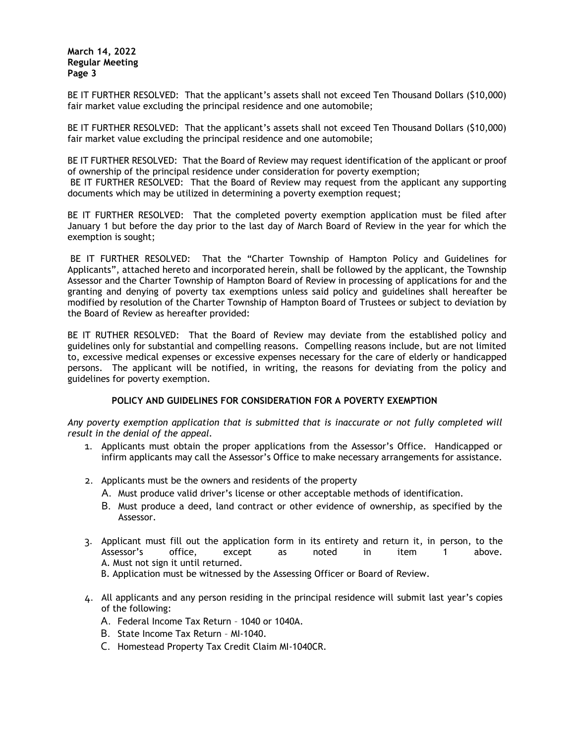BE IT FURTHER RESOLVED: That the applicant's assets shall not exceed Ten Thousand Dollars (\$10,000) fair market value excluding the principal residence and one automobile;

BE IT FURTHER RESOLVED: That the applicant's assets shall not exceed Ten Thousand Dollars (\$10,000) fair market value excluding the principal residence and one automobile;

BE IT FURTHER RESOLVED: That the Board of Review may request identification of the applicant or proof of ownership of the principal residence under consideration for poverty exemption; BE IT FURTHER RESOLVED: That the Board of Review may request from the applicant any supporting

documents which may be utilized in determining a poverty exemption request;

BE IT FURTHER RESOLVED: That the completed poverty exemption application must be filed after January 1 but before the day prior to the last day of March Board of Review in the year for which the exemption is sought;

BE IT FURTHER RESOLVED: That the "Charter Township of Hampton Policy and Guidelines for Applicants", attached hereto and incorporated herein, shall be followed by the applicant, the Township Assessor and the Charter Township of Hampton Board of Review in processing of applications for and the granting and denying of poverty tax exemptions unless said policy and guidelines shall hereafter be modified by resolution of the Charter Township of Hampton Board of Trustees or subject to deviation by the Board of Review as hereafter provided:

BE IT RUTHER RESOLVED: That the Board of Review may deviate from the established policy and guidelines only for substantial and compelling reasons. Compelling reasons include, but are not limited to, excessive medical expenses or excessive expenses necessary for the care of elderly or handicapped persons. The applicant will be notified, in writing, the reasons for deviating from the policy and guidelines for poverty exemption.

# **POLICY AND GUIDELINES FOR CONSIDERATION FOR A POVERTY EXEMPTION**

*Any poverty exemption application that is submitted that is inaccurate or not fully completed will result in the denial of the appeal.* 

- 1. Applicants must obtain the proper applications from the Assessor's Office. Handicapped or infirm applicants may call the Assessor's Office to make necessary arrangements for assistance.
- 2. Applicants must be the owners and residents of the property
	- A. Must produce valid driver's license or other acceptable methods of identification.
	- B. Must produce a deed, land contract or other evidence of ownership, as specified by the Assessor.
- 3. Applicant must fill out the application form in its entirety and return it, in person, to the Assessor's office, except as noted in item 1 above. Assessor's office, except as noted in item 1 above. A. Must not sign it until returned.
	- B. Application must be witnessed by the Assessing Officer or Board of Review.
- 4. All applicants and any person residing in the principal residence will submit last year's copies of the following:
	- A. Federal Income Tax Return 1040 or 1040A.
	- B. State Income Tax Return MI-1040.
	- C. Homestead Property Tax Credit Claim MI-1040CR.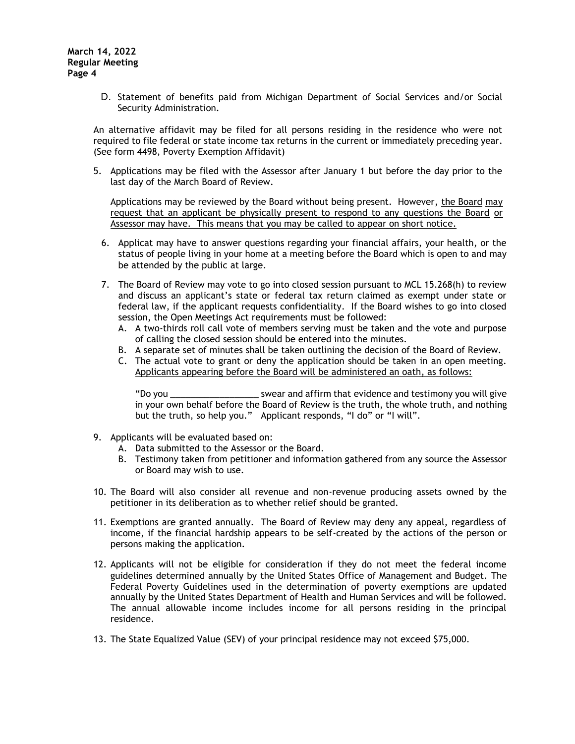D. Statement of benefits paid from Michigan Department of Social Services and/or Social Security Administration.

An alternative affidavit may be filed for all persons residing in the residence who were not required to file federal or state income tax returns in the current or immediately preceding year. (See form 4498, Poverty Exemption Affidavit)

5. Applications may be filed with the Assessor after January 1 but before the day prior to the last day of the March Board of Review.

Applications may be reviewed by the Board without being present. However, the Board may request that an applicant be physically present to respond to any questions the Board or Assessor may have. This means that you may be called to appear on short notice.

- 6. Applicat may have to answer questions regarding your financial affairs, your health, or the status of people living in your home at a meeting before the Board which is open to and may be attended by the public at large.
- 7. The Board of Review may vote to go into closed session pursuant to MCL 15.268(h) to review and discuss an applicant's state or federal tax return claimed as exempt under state or federal law, if the applicant requests confidentiality. If the Board wishes to go into closed session, the Open Meetings Act requirements must be followed:
	- A. A two-thirds roll call vote of members serving must be taken and the vote and purpose of calling the closed session should be entered into the minutes.
	- B. A separate set of minutes shall be taken outlining the decision of the Board of Review.
	- C. The actual vote to grant or deny the application should be taken in an open meeting. Applicants appearing before the Board will be administered an oath, as follows:

"Do you \_\_\_\_\_\_\_\_\_\_\_\_\_\_\_\_\_\_ swear and affirm that evidence and testimony you will give in your own behalf before the Board of Review is the truth, the whole truth, and nothing but the truth, so help you." Applicant responds, "I do" or "I will".

- 9. Applicants will be evaluated based on:
	- A. Data submitted to the Assessor or the Board.
	- B. Testimony taken from petitioner and information gathered from any source the Assessor or Board may wish to use.
- 10. The Board will also consider all revenue and non-revenue producing assets owned by the petitioner in its deliberation as to whether relief should be granted.
- 11. Exemptions are granted annually. The Board of Review may deny any appeal, regardless of income, if the financial hardship appears to be self-created by the actions of the person or persons making the application.
- 12. Applicants will not be eligible for consideration if they do not meet the federal income guidelines determined annually by the United States Office of Management and Budget. The Federal Poverty Guidelines used in the determination of poverty exemptions are updated annually by the United States Department of Health and Human Services and will be followed. The annual allowable income includes income for all persons residing in the principal residence.
- 13. The State Equalized Value (SEV) of your principal residence may not exceed \$75,000.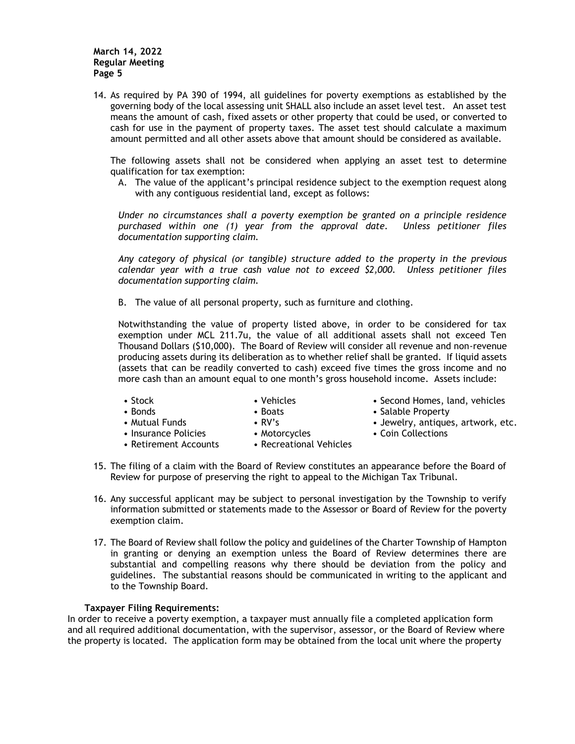14. As required by PA 390 of 1994, all guidelines for poverty exemptions as established by the governing body of the local assessing unit SHALL also include an asset level test. An asset test means the amount of cash, fixed assets or other property that could be used, or converted to cash for use in the payment of property taxes. The asset test should calculate a maximum amount permitted and all other assets above that amount should be considered as available.

The following assets shall not be considered when applying an asset test to determine qualification for tax exemption:

A. The value of the applicant's principal residence subject to the exemption request along with any contiguous residential land, except as follows:

*Under no circumstances shall a poverty exemption be granted on a principle residence purchased within one (1) year from the approval date. Unless petitioner files documentation supporting claim.* 

*Any category of physical (or tangible) structure added to the property in the previous calendar year with a true cash value not to exceed \$2,000. Unless petitioner files documentation supporting claim.* 

B. The value of all personal property, such as furniture and clothing.

Notwithstanding the value of property listed above, in order to be considered for tax exemption under MCL 211.7u, the value of all additional assets shall not exceed Ten Thousand Dollars (\$10,000). The Board of Review will consider all revenue and non-revenue producing assets during its deliberation as to whether relief shall be granted. If liquid assets (assets that can be readily converted to cash) exceed five times the gross income and no more cash than an amount equal to one month's gross household income. Assets include:

- 
- 
- 
- Insurance Policies Motorcycles Coin Collections
	-
- Retirement Accounts Recreational Vehicles
- Stock Stock Vehicles Second Homes, land, vehicles
- Bonds Boats Salable Property
- Mutual Funds RV's Jewelry, antiques, artwork, etc.
	-
- 15. The filing of a claim with the Board of Review constitutes an appearance before the Board of Review for purpose of preserving the right to appeal to the Michigan Tax Tribunal.
- 16. Any successful applicant may be subject to personal investigation by the Township to verify information submitted or statements made to the Assessor or Board of Review for the poverty exemption claim.
- 17. The Board of Review shall follow the policy and guidelines of the Charter Township of Hampton in granting or denying an exemption unless the Board of Review determines there are substantial and compelling reasons why there should be deviation from the policy and guidelines. The substantial reasons should be communicated in writing to the applicant and to the Township Board.

## **Taxpayer Filing Requirements:**

In order to receive a poverty exemption, a taxpayer must annually file a completed application form and all required additional documentation, with the supervisor, assessor, or the Board of Review where the property is located. The application form may be obtained from the local unit where the property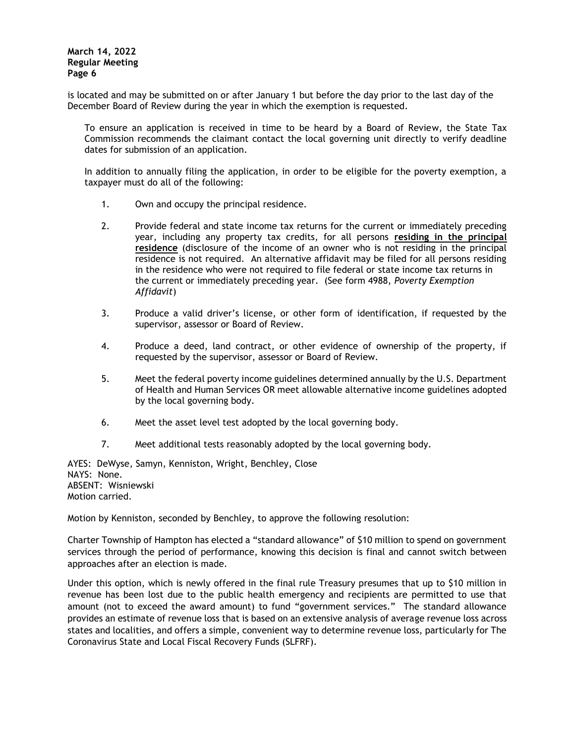is located and may be submitted on or after January 1 but before the day prior to the last day of the December Board of Review during the year in which the exemption is requested.

To ensure an application is received in time to be heard by a Board of Review, the State Tax Commission recommends the claimant contact the local governing unit directly to verify deadline dates for submission of an application.

In addition to annually filing the application, in order to be eligible for the poverty exemption, a taxpayer must do all of the following:

- 1. Own and occupy the principal residence.
- 2. Provide federal and state income tax returns for the current or immediately preceding year, including any property tax credits, for all persons **residing in the principal residence** (disclosure of the income of an owner who is not residing in the principal residence is not required. An alternative affidavit may be filed for all persons residing in the residence who were not required to file federal or state income tax returns in the current or immediately preceding year. (See form 4988, *Poverty Exemption Affidavit*)
- 3. Produce a valid driver's license, or other form of identification, if requested by the supervisor, assessor or Board of Review.
- 4. Produce a deed, land contract, or other evidence of ownership of the property, if requested by the supervisor, assessor or Board of Review.
- 5. Meet the federal poverty income guidelines determined annually by the U.S. Department of Health and Human Services OR meet allowable alternative income guidelines adopted by the local governing body.
- 6. Meet the asset level test adopted by the local governing body.
- 7. Meet additional tests reasonably adopted by the local governing body.

AYES: DeWyse, Samyn, Kenniston, Wright, Benchley, Close NAYS: None. ABSENT: Wisniewski Motion carried.

Motion by Kenniston, seconded by Benchley, to approve the following resolution:

Charter Township of Hampton has elected a "standard allowance" of \$10 million to spend on government services through the period of performance, knowing this decision is final and cannot switch between approaches after an election is made.

Under this option, which is newly offered in the final rule Treasury presumes that up to \$10 million in revenue has been lost due to the public health emergency and recipients are permitted to use that amount (not to exceed the award amount) to fund "government services." The standard allowance provides an estimate of revenue loss that is based on an extensive analysis of average revenue loss across states and localities, and offers a simple, convenient way to determine revenue loss, particularly for The Coronavirus State and Local Fiscal Recovery Funds (SLFRF).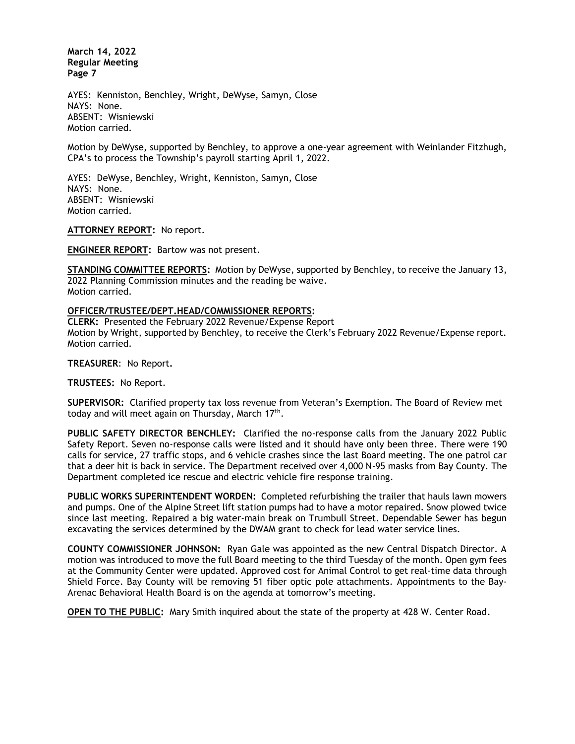AYES: Kenniston, Benchley, Wright, DeWyse, Samyn, Close NAYS: None. ABSENT: Wisniewski Motion carried.

Motion by DeWyse, supported by Benchley, to approve a one-year agreement with Weinlander Fitzhugh, CPA's to process the Township's payroll starting April 1, 2022.

AYES: DeWyse, Benchley, Wright, Kenniston, Samyn, Close NAYS: None. ABSENT: Wisniewski Motion carried.

**ATTORNEY REPORT:** No report.

**ENGINEER REPORT:** Bartow was not present.

**STANDING COMMITTEE REPORTS:** Motion by DeWyse, supported by Benchley, to receive the January 13, 2022 Planning Commission minutes and the reading be waive. Motion carried.

#### **OFFICER/TRUSTEE/DEPT.HEAD/COMMISSIONER REPORTS:**

**CLERK:** Presented the February 2022 Revenue/Expense Report Motion by Wright, supported by Benchley, to receive the Clerk's February 2022 Revenue/Expense report. Motion carried.

**TREASURER**: No Report**.**

**TRUSTEES:** No Report.

**SUPERVISOR:** Clarified property tax loss revenue from Veteran's Exemption. The Board of Review met today and will meet again on Thursday, March  $17<sup>th</sup>$ .

**PUBLIC SAFETY DIRECTOR BENCHLEY:** Clarified the no-response calls from the January 2022 Public Safety Report. Seven no-response calls were listed and it should have only been three. There were 190 calls for service, 27 traffic stops, and 6 vehicle crashes since the last Board meeting. The one patrol car that a deer hit is back in service. The Department received over 4,000 N-95 masks from Bay County. The Department completed ice rescue and electric vehicle fire response training.

**PUBLIC WORKS SUPERINTENDENT WORDEN:** Completed refurbishing the trailer that hauls lawn mowers and pumps. One of the Alpine Street lift station pumps had to have a motor repaired. Snow plowed twice since last meeting. Repaired a big water-main break on Trumbull Street. Dependable Sewer has begun excavating the services determined by the DWAM grant to check for lead water service lines.

**COUNTY COMMISSIONER JOHNSON:** Ryan Gale was appointed as the new Central Dispatch Director. A motion was introduced to move the full Board meeting to the third Tuesday of the month. Open gym fees at the Community Center were updated. Approved cost for Animal Control to get real-time data through Shield Force. Bay County will be removing 51 fiber optic pole attachments. Appointments to the Bay-Arenac Behavioral Health Board is on the agenda at tomorrow's meeting.

**OPEN TO THE PUBLIC:** Mary Smith inquired about the state of the property at 428 W. Center Road.